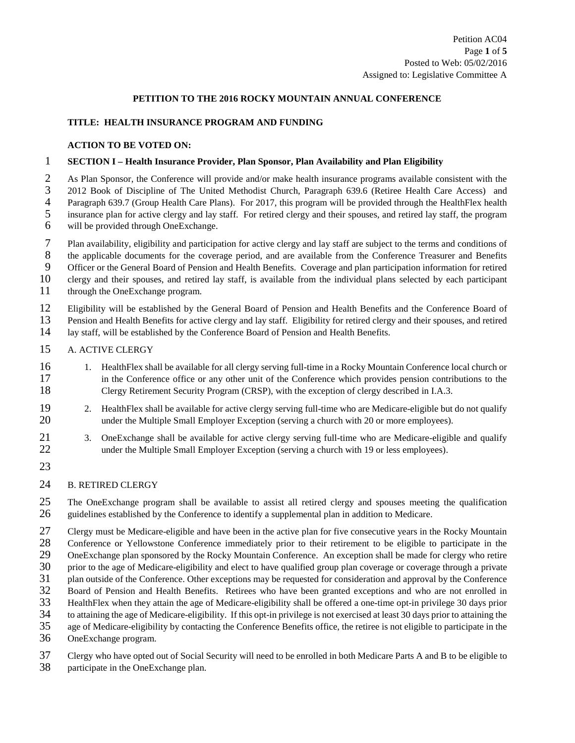#### **PETITION TO THE 2016 ROCKY MOUNTAIN ANNUAL CONFERENCE**

#### **TITLE: HEALTH INSURANCE PROGRAM AND FUNDING**

#### **ACTION TO BE VOTED ON:**

### 1 **SECTION I – Health Insurance Provider, Plan Sponsor, Plan Availability and Plan Eligibility**

2 As Plan Sponsor, the Conference will provide and/or make health insurance programs available consistent with the<br>2012 Book of Discipline of The United Methodist Church, Paragraph 639.6 (Retiree Health Care Access) and 3 2012 Book of Discipline of The United Methodist Church, Paragraph 639.6 (Retiree Health Care Access) and Paragraph 639.7 (Group Health Care Plans). For 2017, this program will be provided through the Health Flex health Paragraph 639.7 (Group Health Care Plans). For 2017, this program will be provided through the HealthFlex health<br>5 insurance plan for active clergy and lay staff. For retired clergy and their spouses, and retired lay staff 5 insurance plan for active clergy and lay staff. For retired clergy and their spouses, and retired lay staff, the program 6 will be provided through OneExchange.

7 Plan availability, eligibility and participation for active clergy and lay staff are subject to the terms and conditions of

8 the applicable documents for the coverage period, and are available from the Conference Treasurer and Benefits<br>9 Officer or the General Board of Pension and Health Benefits. Coverage and plan participation information fo

9 Officer or the General Board of Pension and Health Benefits. Coverage and plan participation information for retired 10 clergy and their spouses, and retired lay staff, is available from the individual plans selected by 10 clergy and their spouses, and retired lay staff, is available from the individual plans selected by each participant

11 through the OneExchange program.

12 Eligibility will be established by the General Board of Pension and Health Benefits and the Conference Board of

13 Pension and Health Benefits for active clergy and lay staff. Eligibility for retired clergy and their spouses, and retired

14 lay staff, will be established by the Conference Board of Pension and Health Benefits.

### 15 A. ACTIVE CLERGY

- 16 1. HealthFlex shall be available for all clergy serving full-time in a Rocky Mountain Conference local church or<br>17 in the Conference office or any other unit of the Conference which provides pension contributions to th 17 in the Conference office or any other unit of the Conference which provides pension contributions to the<br>18 Clergy Retirement Security Program (CRSP), with the exception of clergy described in I.A.3. 18 Clergy Retirement Security Program (CRSP), with the exception of clergy described in I.A.3.
- 19 2. HealthFlex shall be available for active clergy serving full-time who are Medicare-eligible but do not qualify 20 under the Multiple Small Employer Exception (serving a church with 20 or more employees).
- 21 3. OneExchange shall be available for active clergy serving full-time who are Medicare-eligible and qualify 22 under the Multiple Small Employer Exception (serving a church with 19 or less employees).
- 23

### 24 B. RETIRED CLERGY

25 The OneExchange program shall be available to assist all retired clergy and spouses meeting the qualification 26 guidelines established by the Conference to identify a supplemental plan in addition to Medicare.

27 Clergy must be Medicare-eligible and have been in the active plan for five consecutive years in the Rocky Mountain

28 Conference or Yellowstone Conference immediately prior to their retirement to be eligible to participate in the

29 OneExchange plan sponsored by the Rocky Mountain Conference. An exception shall be made for clergy who retire

30 prior to the age of Medicare-eligibility and elect to have qualified group plan coverage or coverage through a private<br>31 plan outside of the Conference. Other exceptions may be requested for consideration and approval

31 plan outside of the Conference. Other exceptions may be requested for consideration and approval by the Conference<br>32 Board of Pension and Health Benefits. Retirees who have been granted exceptions and who are not enrol

32 Board of Pension and Health Benefits. Retirees who have been granted exceptions and who are not enrolled in

33 HealthFlex when they attain the age of Medicare-eligibility shall be offered a one-time opt-in privilege 30 days prior

34 to attaining the age of Medicare-eligibility. If this opt-in privilege is not exercised at least 30 days prior to attaining the

35 age of Medicare-eligibility by contacting the Conference Benefits office, the retiree is not eligible to participate in the

36 OneExchange program.

37 Clergy who have opted out of Social Security will need to be enrolled in both Medicare Parts A and B to be eligible to

38 participate in the OneExchange plan.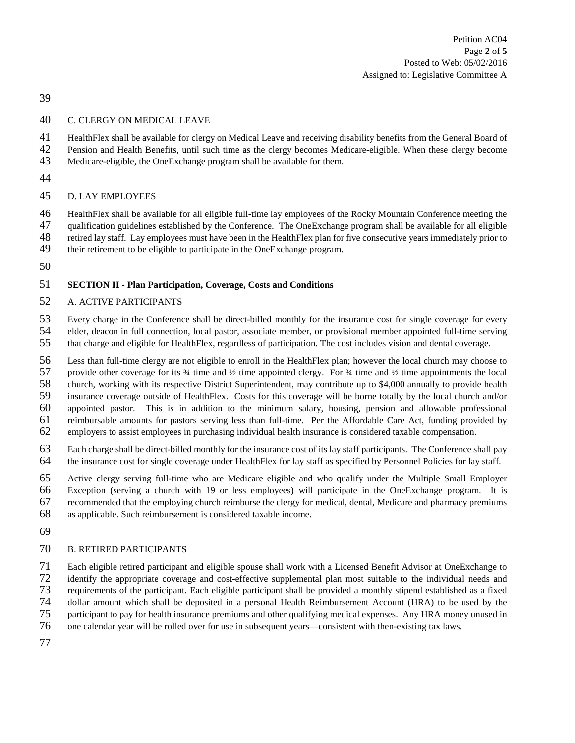Petition AC04 Page **2** of **5** Posted to Web: 05/02/2016 Assigned to: Legislative Committee A

# C. CLERGY ON MEDICAL LEAVE

HealthFlex shall be available for clergy on Medical Leave and receiving disability benefits from the General Board of

- Pension and Health Benefits, until such time as the clergy becomes Medicare-eligible. When these clergy become
- Medicare-eligible, the OneExchange program shall be available for them.
- 

# D. LAY EMPLOYEES

 HealthFlex shall be available for all eligible full-time lay employees of the Rocky Mountain Conference meeting the qualification guidelines established by the Conference. The OneExchange program shall be available for all eligible

retired lay staff. Lay employees must have been in the HealthFlex plan for five consecutive years immediately prior to

- their retirement to be eligible to participate in the OneExchange program.
- 

# **SECTION II - Plan Participation, Coverage, Costs and Conditions**

# A. ACTIVE PARTICIPANTS

53 Every charge in the Conference shall be direct-billed monthly for the insurance cost for single coverage for every<br>54 elder, deacon in full connection, local pastor, associate member, or provisional member appointed ful

- 54 elder, deacon in full connection, local pastor, associate member, or provisional member appointed full-time serving<br>55 that charge and eligible for HealthFlex, regardless of participation. The cost includes vision and d that charge and eligible for HealthFlex, regardless of participation. The cost includes vision and dental coverage.
- 

 Less than full-time clergy are not eligible to enroll in the HealthFlex plan; however the local church may choose to 57 provide other coverage for its  $\frac{3}{4}$  time and  $\frac{1}{2}$  time appointed clergy. For  $\frac{3}{4}$  time and  $\frac{1}{2}$  time appointments the local

 church, working with its respective District Superintendent, may contribute up to \$4,000 annually to provide health insurance coverage outside of HealthFlex. Costs for this coverage will be borne totally by the local church and/or

appointed pastor. This is in addition to the minimum salary, housing, pension and allowable professional

reimbursable amounts for pastors serving less than full-time. Per the Affordable Care Act, funding provided by

- employers to assist employees in purchasing individual health insurance is considered taxable compensation.
- Each charge shall be direct-billed monthly for the insurance cost of its lay staff participants. The Conference shall pay the insurance cost for single coverage under HealthFlex for lay staff as specified by Personnel Policies for lay staff.
- Active clergy serving full-time who are Medicare eligible and who qualify under the Multiple Small Employer
- Exception (serving a church with 19 or less employees) will participate in the OneExchange program. It is
- recommended that the employing church reimburse the clergy for medical, dental, Medicare and pharmacy premiums
- as applicable. Such reimbursement is considered taxable income.
- 

## B. RETIRED PARTICIPANTS

Each eligible retired participant and eligible spouse shall work with a Licensed Benefit Advisor at OneExchange to

- identify the appropriate coverage and cost-effective supplemental plan most suitable to the individual needs and
- requirements of the participant. Each eligible participant shall be provided a monthly stipend established as a fixed
- 74 dollar amount which shall be deposited in a personal Health Reimbursement Account (HRA) to be used by the participant to pay for health insurance premiums and other qualifying medical expenses. Any HRA money unused in
- participant to pay for health insurance premiums and other qualifying medical expenses. Any HRA money unused in
- one calendar year will be rolled over for use in subsequent years—consistent with then-existing tax laws.
-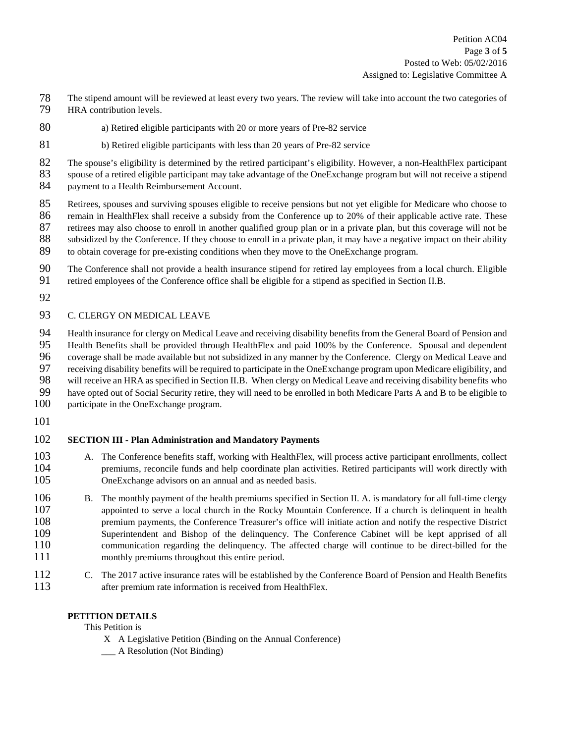- 78 The stipend amount will be reviewed at least every two years. The review will take into account the two categories of 79 HRA contribution levels.
- 80 a) Retired eligible participants with 20 or more years of Pre-82 service
- 81 b) Retired eligible participants with less than 20 years of Pre-82 service

82 The spouse's eligibility is determined by the retired participant's eligibility. However, a non-HealthFlex participant 83 spouse of a retired eligible participant may take advantage of the OneExchange program but will not receive a stipend<br>84 payment to a Health Reimbursement Account. payment to a Health Reimbursement Account.

- 85 Retirees, spouses and surviving spouses eligible to receive pensions but not yet eligible for Medicare who choose to 86 remain in HealthFlex shall receive a subsidy from the Conference up to 20% of their applicable active rate. These<br>87 retirees may also choose to enroll in another qualified group plan or in a private plan, but this cove retirees may also choose to enroll in another qualified group plan or in a private plan, but this coverage will not be 88 subsidized by the Conference. If they choose to enroll in a private plan, it may have a negative impact on their ability 89 to obtain coverage for pre-existing conditions when they move to the OneExchange program.
- 90 The Conference shall not provide a health insurance stipend for retired lay employees from a local church. Eligible
- 91 retired employees of the Conference office shall be eligible for a stipend as specified in Section II.B.
- 92

# 93 C. CLERGY ON MEDICAL LEAVE

 Health insurance for clergy on Medical Leave and receiving disability benefits from the General Board of Pension and Health Benefits shall be provided through HealthFlex and paid 100% by the Conference. Spousal and dependent coverage shall be made available but not subsidized in any manner by the Conference. Clergy on Medical Leave and receiving disability benefits will be required to participate in the OneExchange program upon Medicare eligibility, and 98 will receive an HRA as specified in Section II.B. When clergy on Medical Leave and receiving disability benefits who<br>99 have opted out of Social Security retire, they will need to be enrolled in both Medicare Parts A an have opted out of Social Security retire, they will need to be enrolled in both Medicare Parts A and B to be eligible to

- 100 participate in the OneExchange program.
- 101

# 102 **SECTION III - Plan Administration and Mandatory Payments**

- 103 A. The Conference benefits staff, working with HealthFlex, will process active participant enrollments, collect 104 premiums, reconcile funds and help coordinate plan activities. Retired participants will work directly with 105 OneExchange advisors on an annual and as needed basis.
- 106 B. The monthly payment of the health premiums specified in Section II. A. is mandatory for all full-time clergy appointed to serve a local church in the Rocky Mountain Conference. If a church is delinguent in health 107 appointed to serve a local church in the Rocky Mountain Conference. If a church is delinquent in health 108 premium payments, the Conference Treasurer's office will initiate action and notify the respective District premium payments, the Conference Treasurer's office will initiate action and notify the respective District 109 Superintendent and Bishop of the delinquency. The Conference Cabinet will be kept apprised of all 110 communication regarding the delinquency. The affected charge will continue to be direct-billed for the 111 monthly premiums throughout this entire period.
- 112 C. The 2017 active insurance rates will be established by the Conference Board of Pension and Health Benefits 113 after premium rate information is received from HealthFlex.

### **PETITION DETAILS**

This Petition is

- X A Legislative Petition (Binding on the Annual Conference)
- \_\_\_ A Resolution (Not Binding)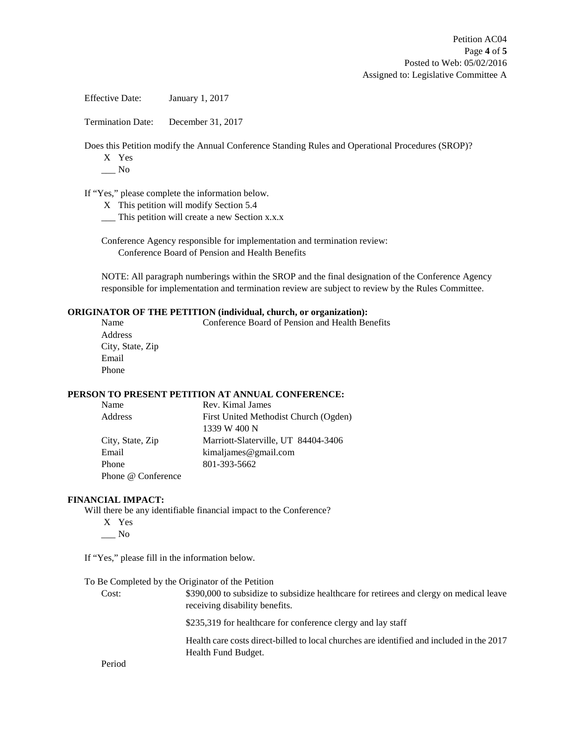Effective Date: January 1, 2017

Termination Date: December 31, 2017

Does this Petition modify the Annual Conference Standing Rules and Operational Procedures (SROP)?

- X Yes
- $\_\_$  No

If "Yes," please complete the information below.

- X This petition will modify Section 5.4
- \_\_\_ This petition will create a new Section x.x.x

Conference Agency responsible for implementation and termination review: Conference Board of Pension and Health Benefits

NOTE: All paragraph numberings within the SROP and the final designation of the Conference Agency responsible for implementation and termination review are subject to review by the Rules Committee.

#### **ORIGINATOR OF THE PETITION (individual, church, or organization):**

| Name             | Conference Board of Pension and Health Benefits |
|------------------|-------------------------------------------------|
| Address          |                                                 |
| City, State, Zip |                                                 |
| Email            |                                                 |
| Phone            |                                                 |
|                  |                                                 |

#### **PERSON TO PRESENT PETITION AT ANNUAL CONFERENCE:**

| Name               | Rev. Kimal James                      |
|--------------------|---------------------------------------|
| Address            | First United Methodist Church (Ogden) |
|                    | 1339 W 400 N                          |
| City, State, Zip   | Marriott-Slaterville, UT 84404-3406   |
| Email              | kimaljames@gmail.com                  |
| Phone              | 801-393-5662                          |
| Phone @ Conference |                                       |

#### **FINANCIAL IMPACT:**

Will there be any identifiable financial impact to the Conference?

X Yes  $\_\_$  No

If "Yes," please fill in the information below.

To Be Completed by the Originator of the Petition

Cost: \$390,000 to subsidize to subsidize healthcare for retirees and clergy on medical leave receiving disability benefits.

\$235,319 for healthcare for conference clergy and lay staff

Health care costs direct-billed to local churches are identified and included in the 2017 Health Fund Budget.

Period